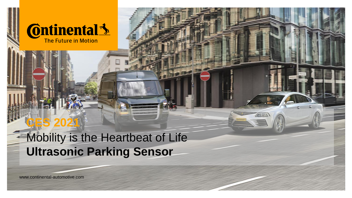

# Mobility is the Heartbeat of Life **Ultrasonic Parking Sensor**

Bitte decken Sie die schraffierte Fläche mit eine Sie die schraftigkeit der Bild ab. Die seinem Bild ab. Die s Please cover the shaded area with a picture.  $= 24.47$ 

www.continental-automotive.com

**CES 2021**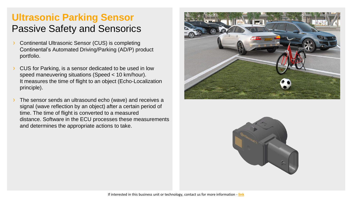### **Ultrasonic Parking Sensor** Passive Safety and Sensorics

- Continental Ultrasonic Sensor (CUS) is completing Continental's Automated Driving/Parking (AD/P) product portfolio.
- CUS for Parking, is a sensor dedicated to be used in low speed maneuvering situations (Speed < 10 km/hour). It measures the time of flight to an object (Echo-Localization principle).
- The sensor sends an ultrasound echo (wave) and receives a signal (wave reflection by an object) after a certain period of time. The time of flight is converted to a measured distance. Software in the ECU processes these measurements and determines the appropriate actions to take.



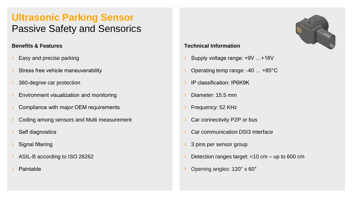### **Ultrasonic Parking Sensor** Passive Safety and Sensorics

### **Benefits & Features**

- Easy and precise parking
- Stress free vehicle maneuverability
- 360-degree car protection
- Environment visualization and monitoring
- Compliance with major OEM requirements
- Coding among sensors and Multi measurement
- Self diagnostics
- **Signal filtering**
- ASIL-B according to ISO 26262
- **Paintable**

#### **Technical Information**

- › Supply voltage range: +9V …+16V
- Operating temp range: -40 ... +85°C
- › IP classification: IP6K9K
- Diameter: 15.5 mm
- Frequency: 52 KHz
- Car connectivity P2P or bus
- Car communication DSI3 interface
- 3 pins per sensor group
- Detection ranges target:  $<$ 10 cm up to 600 cm
- › Opening angles: 120° x 60°

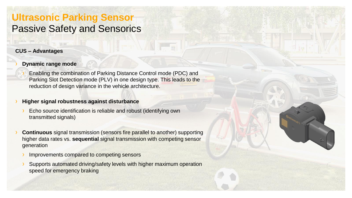### **Ultrasonic Parking Sensor** Passive Safety and Sensorics

### **CUS – Advantages**

#### **Dynamic range mode**

Enabling the combination of Parking Distance Control mode (PDC) and Parking Slot Detection mode (PLV) in one design type. This leads to the reduction of design variance in the vehicle architecture.

#### › **Higher signal robustness against disturbance**

- Echo source identification is reliable and robust (identifying own transmitted signals)
- **Continuous** signal transmission (sensors fire parallel to another) supporting higher data rates vs. **sequential** signal transmission with competing sensor generation
	- Improvements compared to competing sensors
	- Supports automated driving/safety levels with higher maximum operation speed for emergency braking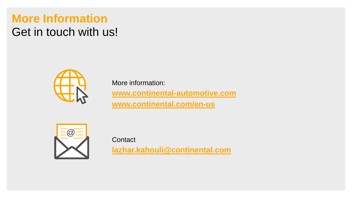## **More Information** Get in touch with us!



More information: **[www.continental-automotive.com](http://www.continental-automotive.com/) [www.continental.com/en-us](https://www.continental.com/en-us)**



**Contact** 

**[lazhar.kahouli@continental.com](mailto:lazhar.kahouli@continental.com)**